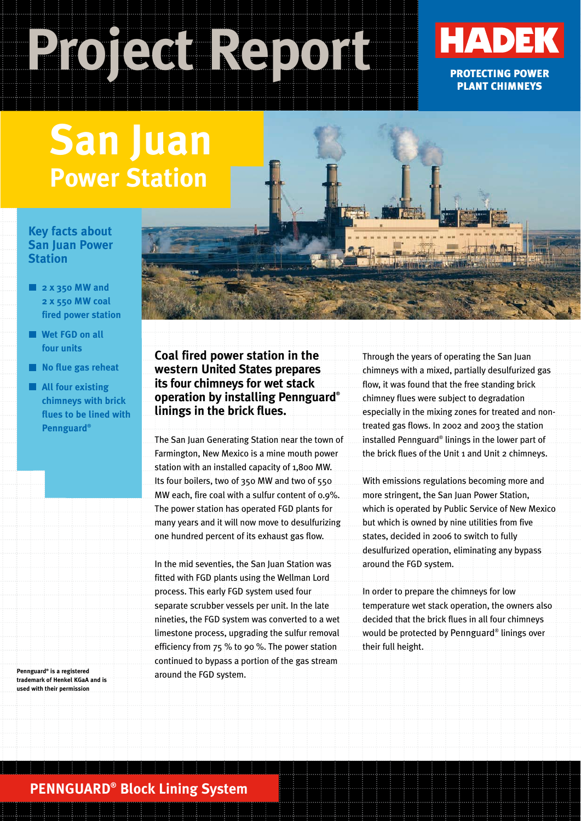# **Project Report**



## **San Juan Power Station**

#### **Key facts about San Juan Power Station**

- **2 x 350 MW and 2 x 550 MW coal fired power station**
- **Wet FGD on all four units**
- **No flue gas reheat**
- **All four existing chimneys with brick flues to be lined with Pennguard®**

**trademark of Henkel KGaA and is used with their permission**

**Coal fired power station in the western United States prepares its four chimneys for wet stack operation by installing Pennguard® linings in the brick flues.**

The San Juan Generating Station near the town of Farmington, New Mexico is a mine mouth power station with an installed capacity of 1,800 MW. Its four boilers, two of 350 MW and two of 550 MW each, fire coal with a sulfur content of 0.9%. The power station has operated FGD plants for many years and it will now move to desulfurizing one hundred percent of its exhaust gas flow.

In the mid seventies, the San Juan Station was fitted with FGD plants using the Wellman Lord process. This early FGD system used four separate scrubber vessels per unit. In the late nineties, the FGD system was converted to a wet limestone process, upgrading the sulfur removal efficiency from 75 % to 90 %. The power station continued to bypass a portion of the gas stream around the FGD system. **Pennguard® is a registered**

Through the years of operating the San Juan chimneys with a mixed, partially desulfurized gas flow, it was found that the free standing brick chimney flues were subject to degradation especially in the mixing zones for treated and nontreated gas flows. In 2002 and 2003 the station installed Pennguard® linings in the lower part of the brick flues of the Unit 1 and Unit 2 chimneys.

With emissions regulations becoming more and more stringent, the San Juan Power Station, which is operated by Public Service of New Mexico but which is owned by nine utilities from five states, decided in 2006 to switch to fully desulfurized operation, eliminating any bypass around the FGD system.

In order to prepare the chimneys for low temperature wet stack operation, the owners also decided that the brick flues in all four chimneys would be protected by Pennguard® linings over their full height.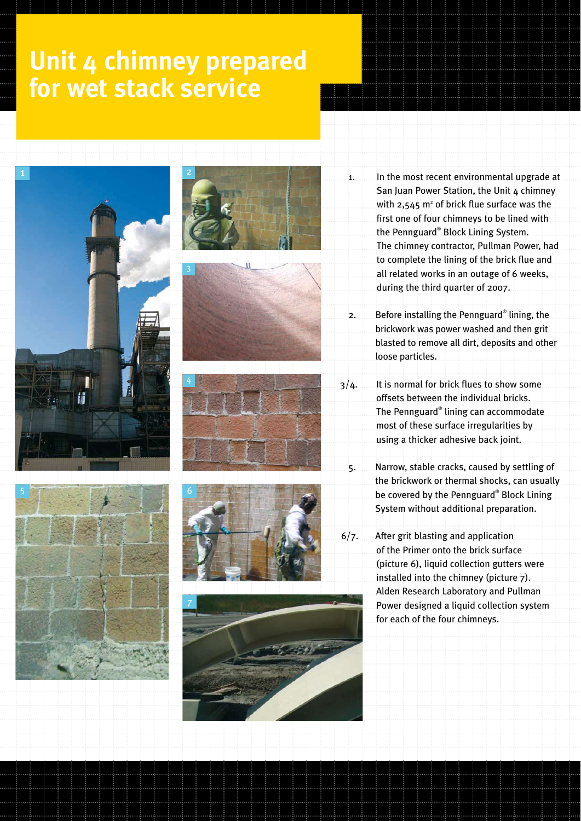## **Unit 4 chimney prepared for wet stack service**















- 1. In the most recent environmental upgrade at San Juan Power Station, the Unit 4 chimney with  $2,545$  m<sup>2</sup> of brick flue surface was the first one of four chimneys to be lined with the Pennguard® Block Lining System. The chimney contractor, Pullman Power, had to complete the lining of the brick flue and all related works in an outage of 6 weeks, during the third quarter of 2007.
- 2. Before installing the Pennguard® lining, the brickwork was power washed and then grit blasted to remove all dirt, deposits and other loose particles.
- 3/4. It is normal for brick flues to show some offsets between the individual bricks. The Pennguard® lining can accommodate most of these surface irregularities by using a thicker adhesive back joint.
	- 5. Narrow, stable cracks, caused by settling of the brickwork or thermal shocks, can usually be covered by the Pennguard® Block Lining System without additional preparation.
- 6/7. After grit blasting and application of the Primer onto the brick surface (picture 6), liquid collection gutters were installed into the chimney (picture 7). Alden Research Laboratory and Pullman Power designed a liquid collection system for each of the four chimneys.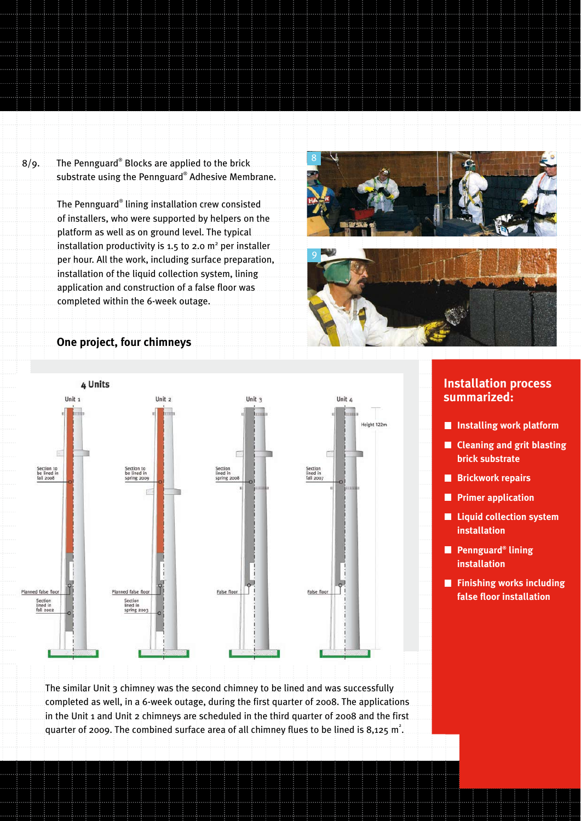8/9. The Pennguard® Blocks are applied to the brick substrate using the Pennguard® Adhesive Membrane.

> The Pennguard® lining installation crew consisted of installers, who were supported by helpers on the platform as well as on ground level. The typical installation productivity is 1.5 to 2.0  $m<sup>2</sup>$  per installer per hour. All the work, including surface preparation, installation of the liquid collection system, lining application and construction of a false floor was completed within the 6-week outage.





#### **One project, four chimneys**



#### **Installation process summarized:**

- **Installing work platform**
- **Cleaning and grit blasting brick substrate**
- **Brickwork repairs**
- **Primer application**
- **Liquid collection system installation**
- **Pennguard® lining installation**
- **Finishing works including false floor installation**

The similar Unit 3 chimney was the second chimney to be lined and was successfully completed as well, in a 6-week outage, during the first quarter of 2008. The applications in the Unit 1 and Unit 2 chimneys are scheduled in the third quarter of 2008 and the first quarter of 2009. The combined surface area of all chimney flues to be lined is 8,125  $m^2$ .